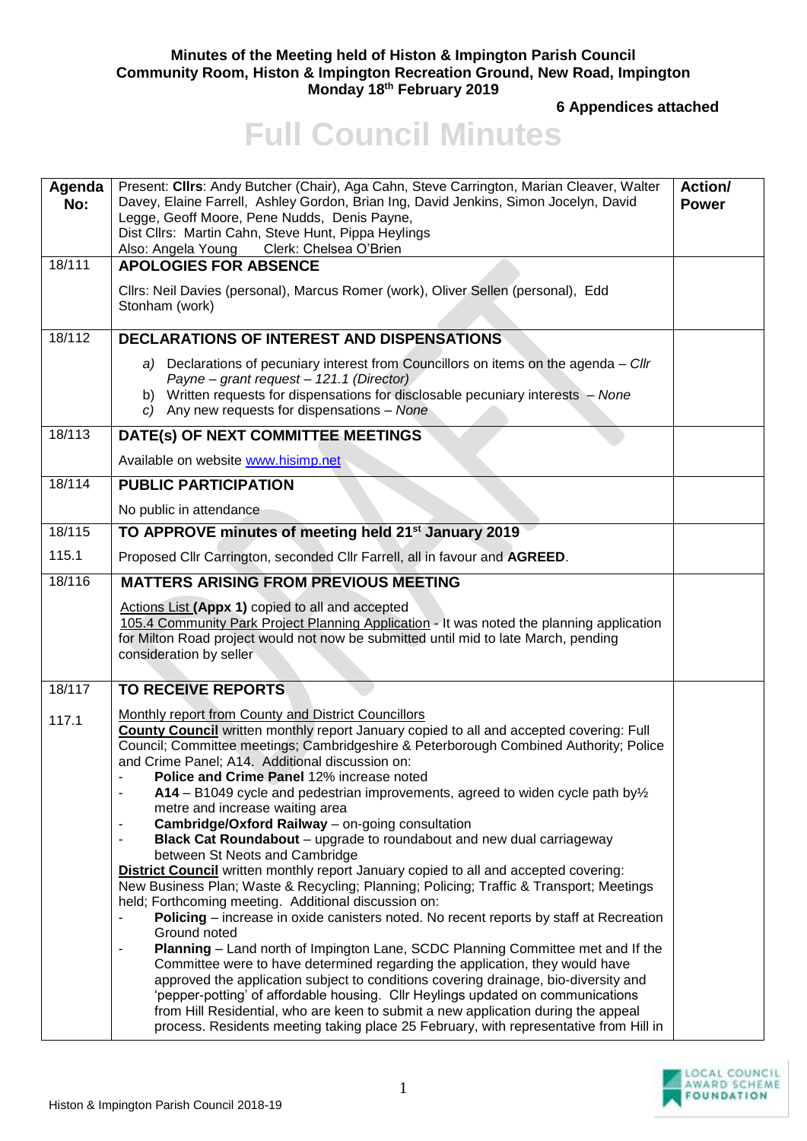## **Minutes of the Meeting held of Histon & Impington Parish Council Community Room, Histon & Impington Recreation Ground, New Road, Impington Monday 18th February 2019**

**6 Appendices attached**

## **Full Council Minutes**

| Agenda<br>No: | Present: Cllrs: Andy Butcher (Chair), Aga Cahn, Steve Carrington, Marian Cleaver, Walter<br>Davey, Elaine Farrell, Ashley Gordon, Brian Ing, David Jenkins, Simon Jocelyn, David<br>Legge, Geoff Moore, Pene Nudds, Denis Payne,<br>Dist Cllrs: Martin Cahn, Steve Hunt, Pippa Heylings<br>Also: Angela Young Clerk: Chelsea O'Brien                                                                                                                                                                                                                                                                                                                                                                                                                                                                                                                                                                                                                                                                                                                                                                    | Action/<br><b>Power</b> |
|---------------|---------------------------------------------------------------------------------------------------------------------------------------------------------------------------------------------------------------------------------------------------------------------------------------------------------------------------------------------------------------------------------------------------------------------------------------------------------------------------------------------------------------------------------------------------------------------------------------------------------------------------------------------------------------------------------------------------------------------------------------------------------------------------------------------------------------------------------------------------------------------------------------------------------------------------------------------------------------------------------------------------------------------------------------------------------------------------------------------------------|-------------------------|
| 18/111        | <b>APOLOGIES FOR ABSENCE</b>                                                                                                                                                                                                                                                                                                                                                                                                                                                                                                                                                                                                                                                                                                                                                                                                                                                                                                                                                                                                                                                                            |                         |
|               | Cllrs: Neil Davies (personal), Marcus Romer (work), Oliver Sellen (personal), Edd<br>Stonham (work)                                                                                                                                                                                                                                                                                                                                                                                                                                                                                                                                                                                                                                                                                                                                                                                                                                                                                                                                                                                                     |                         |
| 18/112        | <b>DECLARATIONS OF INTEREST AND DISPENSATIONS</b>                                                                                                                                                                                                                                                                                                                                                                                                                                                                                                                                                                                                                                                                                                                                                                                                                                                                                                                                                                                                                                                       |                         |
|               | a) Declarations of pecuniary interest from Councillors on items on the agenda - Cllr<br>Payne - grant request - 121.1 (Director)<br>b) Written requests for dispensations for disclosable pecuniary interests - None<br>c) Any new requests for dispensations - None                                                                                                                                                                                                                                                                                                                                                                                                                                                                                                                                                                                                                                                                                                                                                                                                                                    |                         |
| 18/113        | DATE(s) OF NEXT COMMITTEE MEETINGS                                                                                                                                                                                                                                                                                                                                                                                                                                                                                                                                                                                                                                                                                                                                                                                                                                                                                                                                                                                                                                                                      |                         |
|               | Available on website www.hisimp.net                                                                                                                                                                                                                                                                                                                                                                                                                                                                                                                                                                                                                                                                                                                                                                                                                                                                                                                                                                                                                                                                     |                         |
| 18/114        | <b>PUBLIC PARTICIPATION</b>                                                                                                                                                                                                                                                                                                                                                                                                                                                                                                                                                                                                                                                                                                                                                                                                                                                                                                                                                                                                                                                                             |                         |
|               | No public in attendance                                                                                                                                                                                                                                                                                                                                                                                                                                                                                                                                                                                                                                                                                                                                                                                                                                                                                                                                                                                                                                                                                 |                         |
| 18/115        | TO APPROVE minutes of meeting held 21 <sup>st</sup> January 2019                                                                                                                                                                                                                                                                                                                                                                                                                                                                                                                                                                                                                                                                                                                                                                                                                                                                                                                                                                                                                                        |                         |
| 115.1         | Proposed Cllr Carrington, seconded Cllr Farrell, all in favour and AGREED.                                                                                                                                                                                                                                                                                                                                                                                                                                                                                                                                                                                                                                                                                                                                                                                                                                                                                                                                                                                                                              |                         |
| 18/116        | <b>MATTERS ARISING FROM PREVIOUS MEETING</b>                                                                                                                                                                                                                                                                                                                                                                                                                                                                                                                                                                                                                                                                                                                                                                                                                                                                                                                                                                                                                                                            |                         |
|               | Actions List (Appx 1) copied to all and accepted<br>105.4 Community Park Project Planning Application - It was noted the planning application<br>for Milton Road project would not now be submitted until mid to late March, pending<br>consideration by seller                                                                                                                                                                                                                                                                                                                                                                                                                                                                                                                                                                                                                                                                                                                                                                                                                                         |                         |
| 18/117        | <b>TO RECEIVE REPORTS</b>                                                                                                                                                                                                                                                                                                                                                                                                                                                                                                                                                                                                                                                                                                                                                                                                                                                                                                                                                                                                                                                                               |                         |
| 117.1         | Monthly report from County and District Councillors<br>County Council written monthly report January copied to all and accepted covering: Full<br>Council; Committee meetings; Cambridgeshire & Peterborough Combined Authority; Police<br>and Crime Panel; A14. Additional discussion on:<br><b>Police and Crime Panel 12% increase noted.</b><br>$A14 - B1049$ cycle and pedestrian improvements, agreed to widen cycle path by $\frac{1}{2}$<br>metre and increase waiting area<br>Cambridge/Oxford Railway - on-going consultation<br><b>Black Cat Roundabout</b> – upgrade to roundabout and new dual carriageway<br>between St Neots and Cambridge<br>District Council written monthly report January copied to all and accepted covering:<br>New Business Plan; Waste & Recycling; Planning; Policing; Traffic & Transport; Meetings<br>held; Forthcoming meeting. Additional discussion on:<br>Policing - increase in oxide canisters noted. No recent reports by staff at Recreation<br>Ground noted<br><b>Planning</b> – Land north of Impington Lane, SCDC Planning Committee met and If the |                         |
|               | Committee were to have determined regarding the application, they would have<br>approved the application subject to conditions covering drainage, bio-diversity and<br>'pepper-potting' of affordable housing. Cllr Heylings updated on communications<br>from Hill Residential, who are keen to submit a new application during the appeal<br>process. Residents meeting taking place 25 February, with representative from Hill in                                                                                                                                                                                                                                                                                                                                                                                                                                                                                                                                                                                                                                                                    |                         |

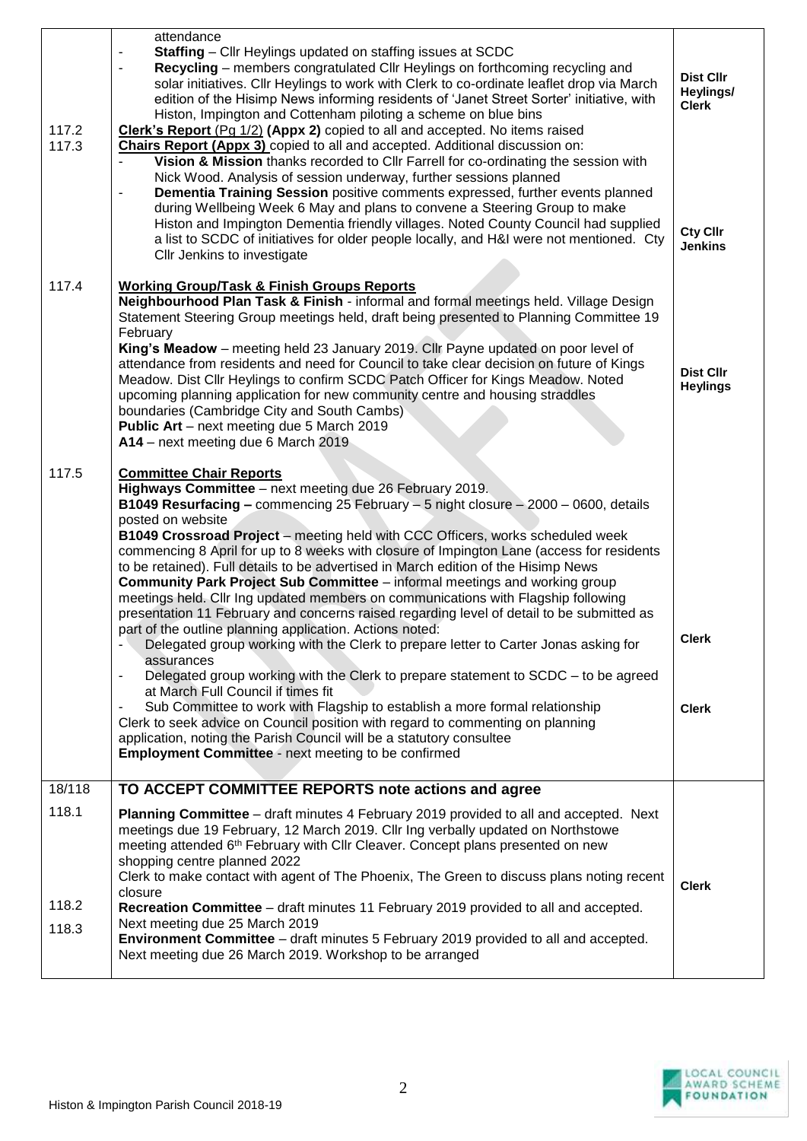| 117.2<br>117.3          | attendance<br><b>Staffing</b> – Cllr Heylings updated on staffing issues at SCDC<br>Recycling – members congratulated Cllr Heylings on forthcoming recycling and<br>$\overline{\phantom{a}}$<br>solar initiatives. Cllr Heylings to work with Clerk to co-ordinate leaflet drop via March<br>edition of the Hisimp News informing residents of 'Janet Street Sorter' initiative, with<br>Histon, Impington and Cottenham piloting a scheme on blue bins<br>Clerk's Report (Pg 1/2) (Appx 2) copied to all and accepted. No items raised<br><b>Chairs Report (Appx 3)</b> copied to all and accepted. Additional discussion on:<br>Vision & Mission thanks recorded to Cllr Farrell for co-ordinating the session with<br>Nick Wood. Analysis of session underway, further sessions planned<br>Dementia Training Session positive comments expressed, further events planned<br>during Wellbeing Week 6 May and plans to convene a Steering Group to make<br>Histon and Impington Dementia friendly villages. Noted County Council had supplied<br>a list to SCDC of initiatives for older people locally, and H&I were not mentioned. Cty<br>CIIr Jenkins to investigate                                                                                                                                                                                                                     | <b>Dist Cllr</b><br>Heylings/<br><b>Clerk</b><br><b>Cty Cllr</b><br><b>Jenkins</b> |
|-------------------------|----------------------------------------------------------------------------------------------------------------------------------------------------------------------------------------------------------------------------------------------------------------------------------------------------------------------------------------------------------------------------------------------------------------------------------------------------------------------------------------------------------------------------------------------------------------------------------------------------------------------------------------------------------------------------------------------------------------------------------------------------------------------------------------------------------------------------------------------------------------------------------------------------------------------------------------------------------------------------------------------------------------------------------------------------------------------------------------------------------------------------------------------------------------------------------------------------------------------------------------------------------------------------------------------------------------------------------------------------------------------------------------------|------------------------------------------------------------------------------------|
| 117.4                   | <b>Working Group/Task &amp; Finish Groups Reports</b><br>Neighbourhood Plan Task & Finish - informal and formal meetings held. Village Design<br>Statement Steering Group meetings held, draft being presented to Planning Committee 19<br>February<br>King's Meadow - meeting held 23 January 2019. Cllr Payne updated on poor level of<br>attendance from residents and need for Council to take clear decision on future of Kings<br>Meadow. Dist Cllr Heylings to confirm SCDC Patch Officer for Kings Meadow. Noted<br>upcoming planning application for new community centre and housing straddles<br>boundaries (Cambridge City and South Cambs)<br>Public Art - next meeting due 5 March 2019<br>A14 - next meeting due 6 March 2019                                                                                                                                                                                                                                                                                                                                                                                                                                                                                                                                                                                                                                                 | <b>Dist Cllr</b><br><b>Heylings</b>                                                |
| 117.5                   | <b>Committee Chair Reports</b><br>Highways Committee - next meeting due 26 February 2019.<br><b>B1049 Resurfacing - commencing 25 February - 5 night closure - 2000 - 0600, details</b><br>posted on website<br>B1049 Crossroad Project - meeting held with CCC Officers, works scheduled week<br>commencing 8 April for up to 8 weeks with closure of Impington Lane (access for residents<br>to be retained). Full details to be advertised in March edition of the Hisimp News<br><b>Community Park Project Sub Committee</b> – informal meetings and working group<br>meetings held. Cllr Ing updated members on communications with Flagship following<br>presentation 11 February and concerns raised regarding level of detail to be submitted as<br>part of the outline planning application. Actions noted:<br>Delegated group working with the Clerk to prepare letter to Carter Jonas asking for<br>assurances<br>Delegated group working with the Clerk to prepare statement to SCDC - to be agreed<br>$\qquad \qquad \blacksquare$<br>at March Full Council if times fit<br>Sub Committee to work with Flagship to establish a more formal relationship<br>Clerk to seek advice on Council position with regard to commenting on planning<br>application, noting the Parish Council will be a statutory consultee<br><b>Employment Committee - next meeting to be confirmed</b> | <b>Clerk</b><br><b>Clerk</b>                                                       |
| 18/118                  | TO ACCEPT COMMITTEE REPORTS note actions and agree                                                                                                                                                                                                                                                                                                                                                                                                                                                                                                                                                                                                                                                                                                                                                                                                                                                                                                                                                                                                                                                                                                                                                                                                                                                                                                                                           |                                                                                    |
| 118.1<br>118.2<br>118.3 | Planning Committee - draft minutes 4 February 2019 provided to all and accepted. Next<br>meetings due 19 February, 12 March 2019. Cllr Ing verbally updated on Northstowe<br>meeting attended 6 <sup>th</sup> February with Cllr Cleaver. Concept plans presented on new<br>shopping centre planned 2022<br>Clerk to make contact with agent of The Phoenix, The Green to discuss plans noting recent<br>closure<br>Recreation Committee - draft minutes 11 February 2019 provided to all and accepted.<br>Next meeting due 25 March 2019<br><b>Environment Committee</b> – draft minutes 5 February 2019 provided to all and accepted.<br>Next meeting due 26 March 2019. Workshop to be arranged                                                                                                                                                                                                                                                                                                                                                                                                                                                                                                                                                                                                                                                                                           | <b>Clerk</b>                                                                       |
|                         |                                                                                                                                                                                                                                                                                                                                                                                                                                                                                                                                                                                                                                                                                                                                                                                                                                                                                                                                                                                                                                                                                                                                                                                                                                                                                                                                                                                              |                                                                                    |

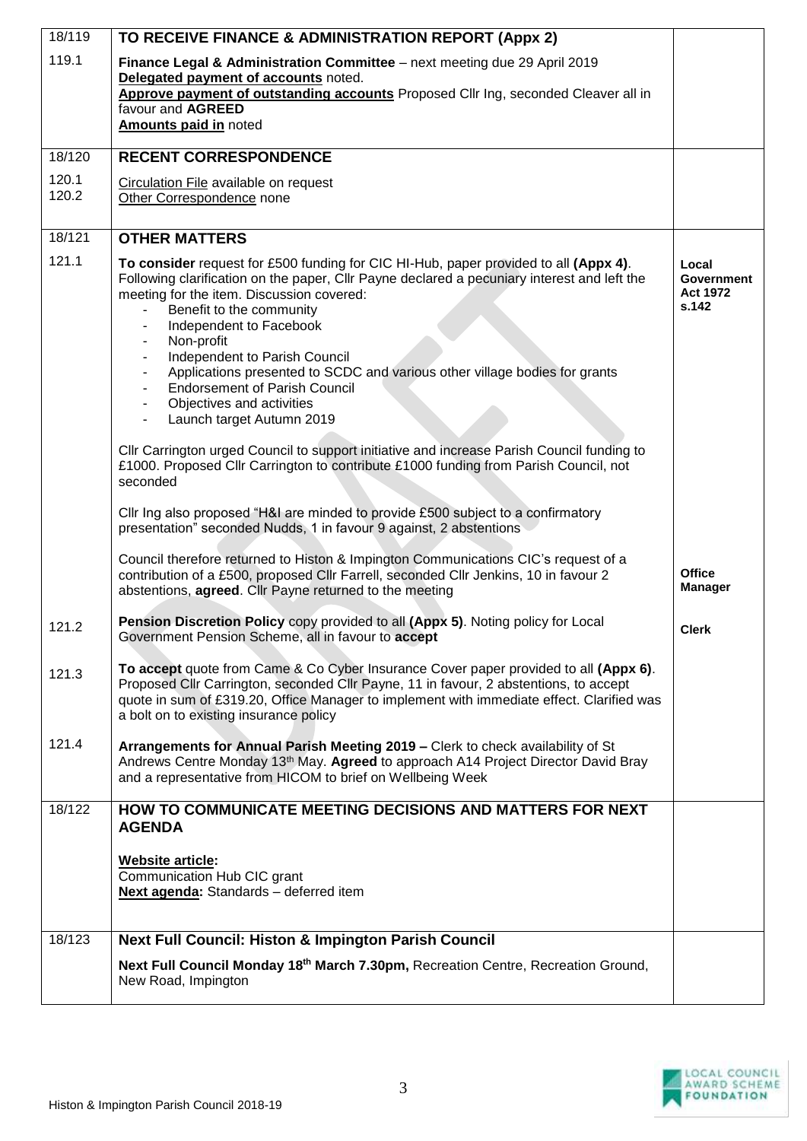| 18/119         | TO RECEIVE FINANCE & ADMINISTRATION REPORT (Appx 2)                                                                                                                                                                                                                                                                                                                                                                                                                                                                                                                                                                                                                                                                                                                                                               |                                                        |
|----------------|-------------------------------------------------------------------------------------------------------------------------------------------------------------------------------------------------------------------------------------------------------------------------------------------------------------------------------------------------------------------------------------------------------------------------------------------------------------------------------------------------------------------------------------------------------------------------------------------------------------------------------------------------------------------------------------------------------------------------------------------------------------------------------------------------------------------|--------------------------------------------------------|
| 119.1          | Finance Legal & Administration Committee - next meeting due 29 April 2019<br>Delegated payment of accounts noted.<br>Approve payment of outstanding accounts Proposed Cllr Ing, seconded Cleaver all in<br>favour and AGREED<br><b>Amounts paid in noted</b>                                                                                                                                                                                                                                                                                                                                                                                                                                                                                                                                                      |                                                        |
| 18/120         | <b>RECENT CORRESPONDENCE</b>                                                                                                                                                                                                                                                                                                                                                                                                                                                                                                                                                                                                                                                                                                                                                                                      |                                                        |
| 120.1<br>120.2 | Circulation File available on request<br>Other Correspondence none                                                                                                                                                                                                                                                                                                                                                                                                                                                                                                                                                                                                                                                                                                                                                |                                                        |
| 18/121         | <b>OTHER MATTERS</b>                                                                                                                                                                                                                                                                                                                                                                                                                                                                                                                                                                                                                                                                                                                                                                                              |                                                        |
| 121.1          | To consider request for £500 funding for CIC HI-Hub, paper provided to all (Appx 4).<br>Following clarification on the paper, Cllr Payne declared a pecuniary interest and left the<br>meeting for the item. Discussion covered:<br>Benefit to the community<br>Independent to Facebook<br>Non-profit<br>Independent to Parish Council<br>۰<br>Applications presented to SCDC and various other village bodies for grants<br><b>Endorsement of Parish Council</b><br>Objectives and activities<br>Launch target Autumn 2019<br>CIIr Carrington urged Council to support initiative and increase Parish Council funding to<br>£1000. Proposed Cllr Carrington to contribute £1000 funding from Parish Council, not<br>seconded<br>Cllr Ing also proposed "H&I are minded to provide £500 subject to a confirmatory | Local<br><b>Government</b><br><b>Act 1972</b><br>s.142 |
|                | presentation" seconded Nudds, 1 in favour 9 against, 2 abstentions<br>Council therefore returned to Histon & Impington Communications CIC's request of a<br>contribution of a £500, proposed Cllr Farrell, seconded Cllr Jenkins, 10 in favour 2<br>abstentions, agreed. Cllr Payne returned to the meeting                                                                                                                                                                                                                                                                                                                                                                                                                                                                                                       | <b>Office</b><br><b>Manager</b>                        |
| 121.2          | Pension Discretion Policy copy provided to all (Appx 5). Noting policy for Local<br>Government Pension Scheme, all in favour to accept                                                                                                                                                                                                                                                                                                                                                                                                                                                                                                                                                                                                                                                                            | <b>Clerk</b>                                           |
| 121.3          | To accept quote from Came & Co Cyber Insurance Cover paper provided to all (Appx 6).<br>Proposed Cllr Carrington, seconded Cllr Payne, 11 in favour, 2 abstentions, to accept<br>quote in sum of £319.20, Office Manager to implement with immediate effect. Clarified was<br>a bolt on to existing insurance policy                                                                                                                                                                                                                                                                                                                                                                                                                                                                                              |                                                        |
| 121.4          | Arrangements for Annual Parish Meeting 2019 - Clerk to check availability of St<br>Andrews Centre Monday 13 <sup>th</sup> May. Agreed to approach A14 Project Director David Bray<br>and a representative from HICOM to brief on Wellbeing Week                                                                                                                                                                                                                                                                                                                                                                                                                                                                                                                                                                   |                                                        |
| 18/122         | HOW TO COMMUNICATE MEETING DECISIONS AND MATTERS FOR NEXT<br><b>AGENDA</b>                                                                                                                                                                                                                                                                                                                                                                                                                                                                                                                                                                                                                                                                                                                                        |                                                        |
|                | <b>Website article:</b><br>Communication Hub CIC grant<br>Next agenda: Standards - deferred item                                                                                                                                                                                                                                                                                                                                                                                                                                                                                                                                                                                                                                                                                                                  |                                                        |
| 18/123         | <b>Next Full Council: Histon &amp; Impington Parish Council</b>                                                                                                                                                                                                                                                                                                                                                                                                                                                                                                                                                                                                                                                                                                                                                   |                                                        |
|                | Next Full Council Monday 18 <sup>th</sup> March 7.30pm, Recreation Centre, Recreation Ground,<br>New Road, Impington                                                                                                                                                                                                                                                                                                                                                                                                                                                                                                                                                                                                                                                                                              |                                                        |